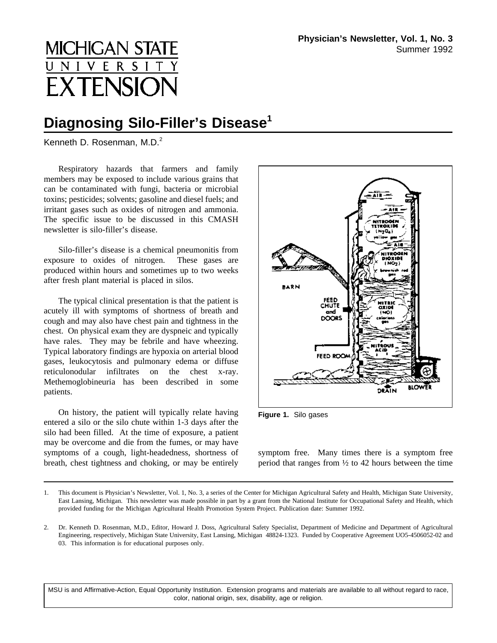## **MICHIGAN STAT** E **EXTENSIO**

## **Diagnosing Silo-Filler's Disease<sup>1</sup>**

Kenneth D. Rosenman,  $M.D.<sup>2</sup>$ 

Respiratory hazards that farmers and family members may be exposed to include various grains that can be contaminated with fungi, bacteria or microbial toxins; pesticides; solvents; gasoline and diesel fuels; and irritant gases such as oxides of nitrogen and ammonia. The specific issue to be discussed in this CMASH newsletter is silo-filler's disease.

Silo-filler's disease is a chemical pneumonitis from exposure to oxides of nitrogen. These gases are produced within hours and sometimes up to two weeks after fresh plant material is placed in silos.

The typical clinical presentation is that the patient is acutely ill with symptoms of shortness of breath and cough and may also have chest pain and tightness in the chest. On physical exam they are dyspneic and typically have rales. They may be febrile and have wheezing. Typical laboratory findings are hypoxia on arterial blood gases, leukocytosis and pulmonary edema or diffuse reticulonodular infiltrates on the chest x-ray. Methemoglobineuria has been described in some patients.

On history, the patient will typically relate having **Figure 1.** Silo gases entered a silo or the silo chute within 1-3 days after the silo had been filled. At the time of exposure, a patient may be overcome and die from the fumes, or may have symptoms of a cough, light-headedness, shortness of breath, chest tightness and choking, or may be entirely



symptom free. Many times there is a symptom free period that ranges from  $\frac{1}{2}$  to 42 hours between the time

MSU is and Affirmative-Action, Equal Opportunity Institution. Extension programs and materials are available to all without regard to race, color, national origin, sex, disability, age or religion.

<sup>1.</sup> This document is Physician's Newsletter, Vol. 1, No. 3, a series of the Center for Michigan Agricultural Safety and Health, Michigan State University, East Lansing, Michigan. This newsletter was made possible in part by a grant from the National Institute for Occupational Safety and Health, which provided funding for the Michigan Agricultural Health Promotion System Project. Publication date: Summer 1992.

<sup>2.</sup> Dr. Kenneth D. Rosenman, M.D., Editor, Howard J. Doss, Agricultural Safety Specialist, Department of Medicine and Department of Agricultural Engineering, respectively, Michigan State University, East Lansing, Michigan 48824-1323. Funded by Cooperative Agreement UO5-4506052-02 and 03. This information is for educational purposes only.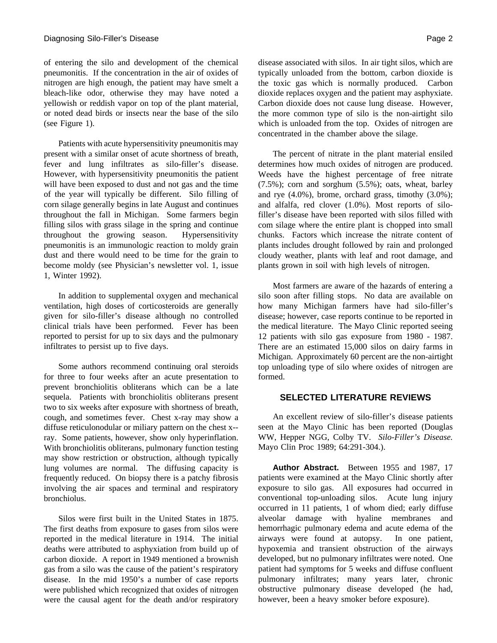of entering the silo and development of the chemical pneumonitis. If the concentration in the air of oxides of nitrogen are high enough, the patient may have smelt a bleach-like odor, otherwise they may have noted a yellowish or reddish vapor on top of the plant material, or noted dead birds or insects near the base of the silo (see Figure 1).

Patients with acute hypersensitivity pneumonitis may present with a similar onset of acute shortness of breath, fever and lung infiltrates as silo-filler's disease. However, with hypersensitivity pneumonitis the patient will have been exposed to dust and not gas and the time of the year will typically be different. Silo filling of corn silage generally begins in late August and continues throughout the fall in Michigan. Some farmers begin filling silos with grass silage in the spring and continue throughout the growing season. Hypersensitivity pneumonitis is an immunologic reaction to moldy grain dust and there would need to be time for the grain to become moldy (see Physician's newsletter vol. 1, issue 1, Winter 1992).

In addition to supplemental oxygen and mechanical ventilation, high doses of corticosteroids are generally given for silo-filler's disease although no controlled clinical trials have been performed. Fever has been reported to persist for up to six days and the pulmonary infiltrates to persist up to five days.

Some authors recommend continuing oral steroids for three to four weeks after an acute presentation to prevent bronchiolitis obliterans which can be a late sequela. Patients with bronchiolitis obliterans present two to six weeks after exposure with shortness of breath, cough, and sometimes fever. Chest x-ray may show a diffuse reticulonodular or miliary pattern on the chest x- ray. Some patients, however, show only hyperinflation. With bronchiolitis obliterans, pulmonary function testing may show restriction or obstruction, although typically lung volumes are normal. The diffusing capacity is frequently reduced. On biopsy there is a patchy fibrosis involving the air spaces and terminal and respiratory bronchiolus.

Silos were first built in the United States in 1875. The first deaths from exposure to gases from silos were reported in the medical literature in 1914. The initial deaths were attributed to asphyxiation from build up of carbon dioxide. A report in 1949 mentioned a brownish gas from a silo was the cause of the patient's respiratory disease. In the mid 1950's a number of case reports were published which recognized that oxides of nitrogen were the causal agent for the death and/or respiratory

disease associated with silos. In air tight silos, which are typically unloaded from the bottom, carbon dioxide is the toxic gas which is normally produced. Carbon dioxide replaces oxygen and the patient may asphyxiate. Carbon dioxide does not cause lung disease. However, the more common type of silo is the non-airtight silo which is unloaded from the top. Oxides of nitrogen are concentrated in the chamber above the silage.

The percent of nitrate in the plant material ensiled determines how much oxides of nitrogen are produced. Weeds have the highest percentage of free nitrate (7.5%); corn and sorghum (5.5%); oats, wheat, barley and rye  $(4.0\%)$ , brome, orchard grass, timothy  $(3.0\%)$ ; and alfalfa, red clover (1.0%). Most reports of silofiller's disease have been reported with silos filled with com silage where the entire plant is chopped into small chunks. Factors which increase the nitrate content of plants includes drought followed by rain and prolonged cloudy weather, plants with leaf and root damage, and plants grown in soil with high levels of nitrogen.

Most farmers are aware of the hazards of entering a silo soon after filling stops. No data are available on how many Michigan farmers have had silo-filler's disease; however, case reports continue to be reported in the medical literature. The Mayo Clinic reported seeing 12 patients with silo gas exposure from 1980 - 1987. There are an estimated 15,000 silos on dairy farms in Michigan. Approximately 60 percent are the non-airtight top unloading type of silo where oxides of nitrogen are formed.

## **SELECTED LITERATURE REVIEWS**

An excellent review of silo-filler's disease patients seen at the Mayo Clinic has been reported (Douglas WW, Hepper NGG, Colby TV. *Silo*-*Filler's Disease.* Mayo Clin Proc 1989; 64:291-304.).

**Author Abstract.** Between 1955 and 1987, 17 patients were examined at the Mayo Clinic shortly after exposure to silo gas. All exposures had occurred in conventional top-unloading silos. Acute lung injury occurred in 11 patients, 1 of whom died; early diffuse alveolar damage with hyaline membranes and hemorrhagic pulmonary edema and acute edema of the airways were found at autopsy. In one patient, hypoxemia and transient obstruction of the airways developed, but no pulmonary infiltrates were noted. One patient had symptoms for 5 weeks and diffuse confluent pulmonary infiltrates; many years later, chronic obstructive pulmonary disease developed (he had, however, been a heavy smoker before exposure).